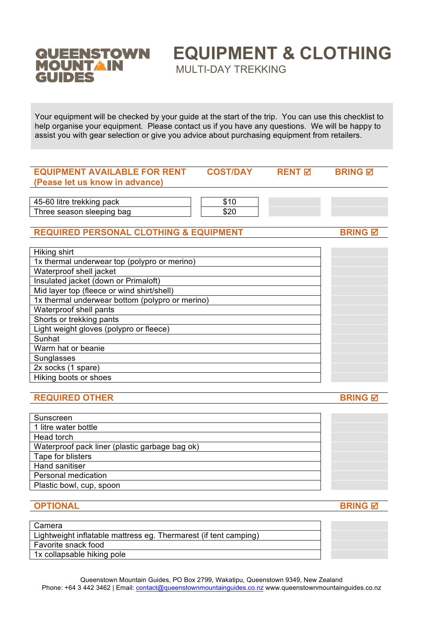

## **EQUIPMENT & CLOTHING**

MULTI-DAY TREKKING

Your equipment will be checked by your guide at the start of the trip. You can use this checklist to help organise your equipment. Please contact us if you have any questions. We will be happy to assist you with gear selection or give you advice about purchasing equipment from retailers.

| <b>EQUIPMENT AVAILABLE FOR RENT</b>               | <b>COST/DAY</b> | <b>RENT 区</b> | <b>BRING M</b> |
|---------------------------------------------------|-----------------|---------------|----------------|
| (Pease let us know in advance)                    |                 |               |                |
|                                                   |                 |               |                |
| 45-60 litre trekking pack                         | \$10            |               |                |
| Three season sleeping bag                         | \$20            |               |                |
|                                                   |                 |               |                |
| <b>REQUIRED PERSONAL CLOTHING &amp; EQUIPMENT</b> |                 |               | <b>BRING M</b> |
|                                                   |                 |               |                |
| Hiking shirt                                      |                 |               |                |
| 1x thermal underwear top (polypro or merino)      |                 |               |                |
| Waterproof shell jacket                           |                 |               |                |
| Insulated jacket (down or Primaloft)              |                 |               |                |
| Mid layer top (fleece or wind shirt/shell)        |                 |               |                |
| 1x thermal underwear bottom (polypro or merino)   |                 |               |                |
| Waterproof shell pants                            |                 |               |                |
| Shorts or trekking pants                          |                 |               |                |
| Light weight gloves (polypro or fleece)           |                 |               |                |
| Sunhat                                            |                 |               |                |
| Warm hat or beanie                                |                 |               |                |
| Sunglasses                                        |                 |               |                |
| 2x socks (1 spare)                                |                 |               |                |
| Hiking boots or shoes                             |                 |               |                |
|                                                   |                 |               |                |
| <b>REQUIRED OTHER</b>                             |                 |               | <b>BRING</b> 团 |
|                                                   |                 |               |                |

| Sunscreen                                      |  |
|------------------------------------------------|--|
| 1 litre water bottle                           |  |
| Head torch                                     |  |
| Waterproof pack liner (plastic garbage bag ok) |  |
| Tape for blisters                              |  |
| Hand sanitiser                                 |  |
| Personal medication                            |  |
| Plastic bowl, cup, spoon                       |  |
|                                                |  |

**OPTIONAL BRING** 

| Camera                                                           |  |
|------------------------------------------------------------------|--|
| Lightweight inflatable mattress eg. Thermarest (if tent camping) |  |
| Favorite snack food                                              |  |
| 1x collapsable hiking pole                                       |  |